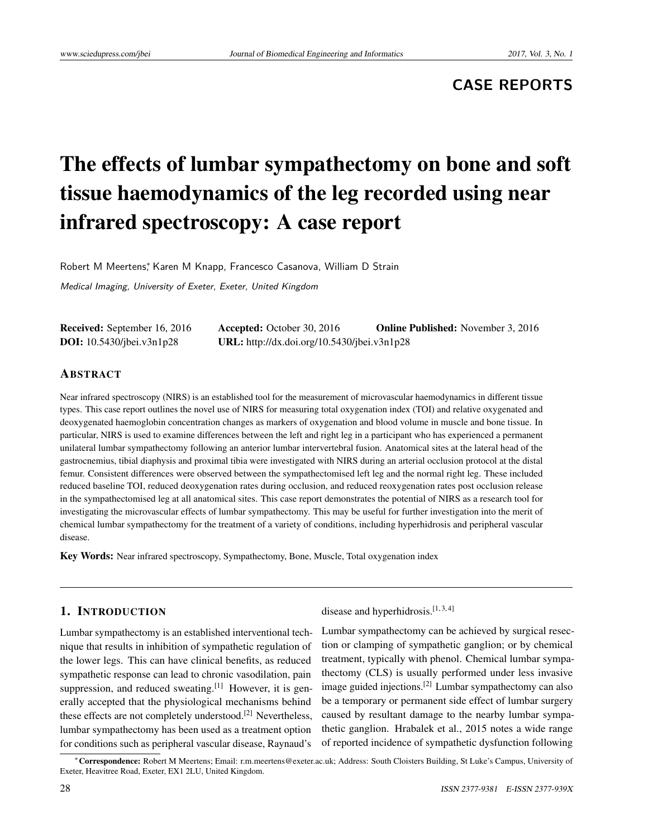# **CASE REPORTS**

# The effects of lumbar sympathectomy on bone and soft tissue haemodynamics of the leg recorded using near infrared spectroscopy: A case report

Robert M Meertens\*, Karen M Knapp, Francesco Casanova, William D Strain

Medical Imaging, University of Exeter, Exeter, United Kingdom

| <b>Received:</b> September 16, 2016 | <b>Accepted:</b> October 30, 2016           | <b>Online Published:</b> November 3, 2016 |
|-------------------------------------|---------------------------------------------|-------------------------------------------|
| <b>DOI:</b> $10.5430/jbei.v3n1p28$  | URL: http://dx.doi.org/10.5430/jbei.v3n1p28 |                                           |

# ABSTRACT

Near infrared spectroscopy (NIRS) is an established tool for the measurement of microvascular haemodynamics in different tissue types. This case report outlines the novel use of NIRS for measuring total oxygenation index (TOI) and relative oxygenated and deoxygenated haemoglobin concentration changes as markers of oxygenation and blood volume in muscle and bone tissue. In particular, NIRS is used to examine differences between the left and right leg in a participant who has experienced a permanent unilateral lumbar sympathectomy following an anterior lumbar intervertebral fusion. Anatomical sites at the lateral head of the gastrocnemius, tibial diaphysis and proximal tibia were investigated with NIRS during an arterial occlusion protocol at the distal femur. Consistent differences were observed between the sympathectomised left leg and the normal right leg. These included reduced baseline TOI, reduced deoxygenation rates during occlusion, and reduced reoxygenation rates post occlusion release in the sympathectomised leg at all anatomical sites. This case report demonstrates the potential of NIRS as a research tool for investigating the microvascular effects of lumbar sympathectomy. This may be useful for further investigation into the merit of chemical lumbar sympathectomy for the treatment of a variety of conditions, including hyperhidrosis and peripheral vascular disease.

Key Words: Near infrared spectroscopy, Sympathectomy, Bone, Muscle, Total oxygenation index

# 1. INTRODUCTION

Lumbar sympathectomy is an established interventional technique that results in inhibition of sympathetic regulation of the lower legs. This can have clinical benefits, as reduced sympathetic response can lead to chronic vasodilation, pain suppression, and reduced sweating.<sup>[\[1\]](#page-4-0)</sup> However, it is generally accepted that the physiological mechanisms behind these effects are not completely understood.<sup>[\[2\]](#page-4-1)</sup> Nevertheless, lumbar sympathectomy has been used as a treatment option for conditions such as peripheral vascular disease, Raynaud's

disease and hyperhidrosis. $[1, 3, 4]$  $[1, 3, 4]$  $[1, 3, 4]$  $[1, 3, 4]$  $[1, 3, 4]$ 

Lumbar sympathectomy can be achieved by surgical resection or clamping of sympathetic ganglion; or by chemical treatment, typically with phenol. Chemical lumbar sympathectomy (CLS) is usually performed under less invasive image guided injections.[\[2\]](#page-4-1) Lumbar sympathectomy can also be a temporary or permanent side effect of lumbar surgery caused by resultant damage to the nearby lumbar sympathetic ganglion. Hrabalek et al., 2015 notes a wide range of reported incidence of sympathetic dysfunction following

<sup>∗</sup>Correspondence: Robert M Meertens; Email: r.m.meertens@exeter.ac.uk; Address: South Cloisters Building, St Luke's Campus, University of Exeter, Heavitree Road, Exeter, EX1 2LU, United Kingdom.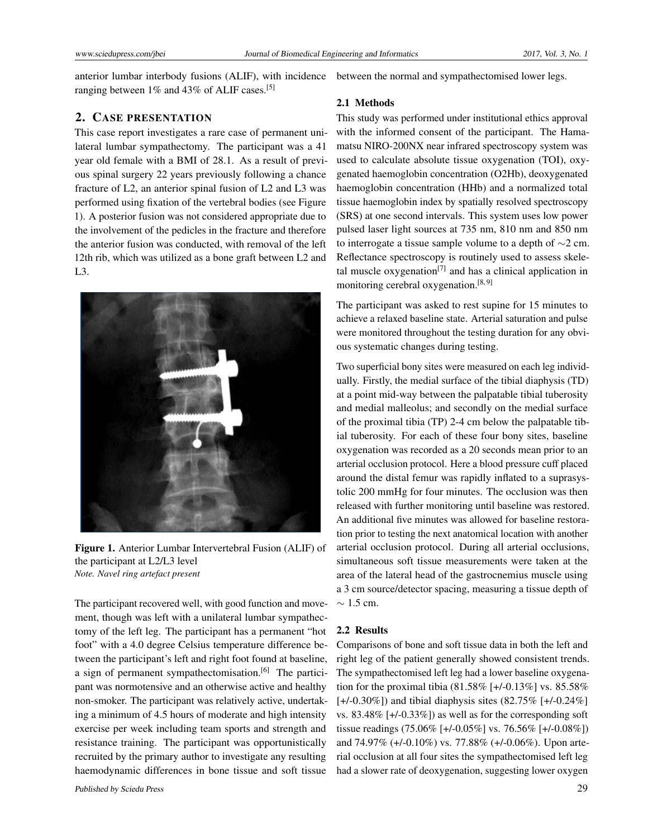anterior lumbar interbody fusions (ALIF), with incidence between the normal and sympathectomised lower legs. ranging between 1% and 43% of ALIF cases.[\[5\]](#page-4-4)

# 2. CASE PRESENTATION

This case report investigates a rare case of permanent unilateral lumbar sympathectomy. The participant was a 41 year old female with a BMI of 28.1. As a result of previous spinal surgery 22 years previously following a chance fracture of L2, an anterior spinal fusion of L2 and L3 was performed using fixation of the vertebral bodies (see Figure 1). A posterior fusion was not considered appropriate due to the involvement of the pedicles in the fracture and therefore the anterior fusion was conducted, with removal of the left 12th rib, which was utilized as a bone graft between L2 and L3.



Figure 1. Anterior Lumbar Intervertebral Fusion (ALIF) of the participant at L2/L3 level *Note. Navel ring artefact present*

The participant recovered well, with good function and movement, though was left with a unilateral lumbar sympathectomy of the left leg. The participant has a permanent "hot foot" with a 4.0 degree Celsius temperature difference between the participant's left and right foot found at baseline, a sign of permanent sympathectomisation.<sup>[\[6\]](#page-4-5)</sup> The participant was normotensive and an otherwise active and healthy non-smoker. The participant was relatively active, undertaking a minimum of 4.5 hours of moderate and high intensity exercise per week including team sports and strength and resistance training. The participant was opportunistically recruited by the primary author to investigate any resulting haemodynamic differences in bone tissue and soft tissue

### 2.1 Methods

This study was performed under institutional ethics approval with the informed consent of the participant. The Hamamatsu NIRO-200NX near infrared spectroscopy system was used to calculate absolute tissue oxygenation (TOI), oxygenated haemoglobin concentration (O2Hb), deoxygenated haemoglobin concentration (HHb) and a normalized total tissue haemoglobin index by spatially resolved spectroscopy (SRS) at one second intervals. This system uses low power pulsed laser light sources at 735 nm, 810 nm and 850 nm to interrogate a tissue sample volume to a depth of ∼2 cm. Reflectance spectroscopy is routinely used to assess skele-tal muscle oxygenation<sup>[\[7\]](#page-4-6)</sup> and has a clinical application in monitoring cerebral oxygenation.<sup>[\[8,](#page-4-7) [9\]](#page-4-8)</sup>

The participant was asked to rest supine for 15 minutes to achieve a relaxed baseline state. Arterial saturation and pulse were monitored throughout the testing duration for any obvious systematic changes during testing.

Two superficial bony sites were measured on each leg individually. Firstly, the medial surface of the tibial diaphysis (TD) at a point mid-way between the palpatable tibial tuberosity and medial malleolus; and secondly on the medial surface of the proximal tibia (TP) 2-4 cm below the palpatable tibial tuberosity. For each of these four bony sites, baseline oxygenation was recorded as a 20 seconds mean prior to an arterial occlusion protocol. Here a blood pressure cuff placed around the distal femur was rapidly inflated to a suprasystolic 200 mmHg for four minutes. The occlusion was then released with further monitoring until baseline was restored. An additional five minutes was allowed for baseline restoration prior to testing the next anatomical location with another arterial occlusion protocol. During all arterial occlusions, simultaneous soft tissue measurements were taken at the area of the lateral head of the gastrocnemius muscle using a 3 cm source/detector spacing, measuring a tissue depth of  $\sim$  1.5 cm.

# 2.2 Results

Comparisons of bone and soft tissue data in both the left and right leg of the patient generally showed consistent trends. The sympathectomised left leg had a lower baseline oxygenation for the proximal tibia (81.58% [+/-0.13%] vs. 85.58%  $[+/0.30\%]$  and tibial diaphysis sites  $(82.75\%$   $[+/0.24\%]$ vs. 83.48% [+/-0.33%]) as well as for the corresponding soft tissue readings (75.06% [+/-0.05%] vs. 76.56% [+/-0.08%]) and 74.97% (+/-0.10%) vs. 77.88% (+/-0.06%). Upon arterial occlusion at all four sites the sympathectomised left leg had a slower rate of deoxygenation, suggesting lower oxygen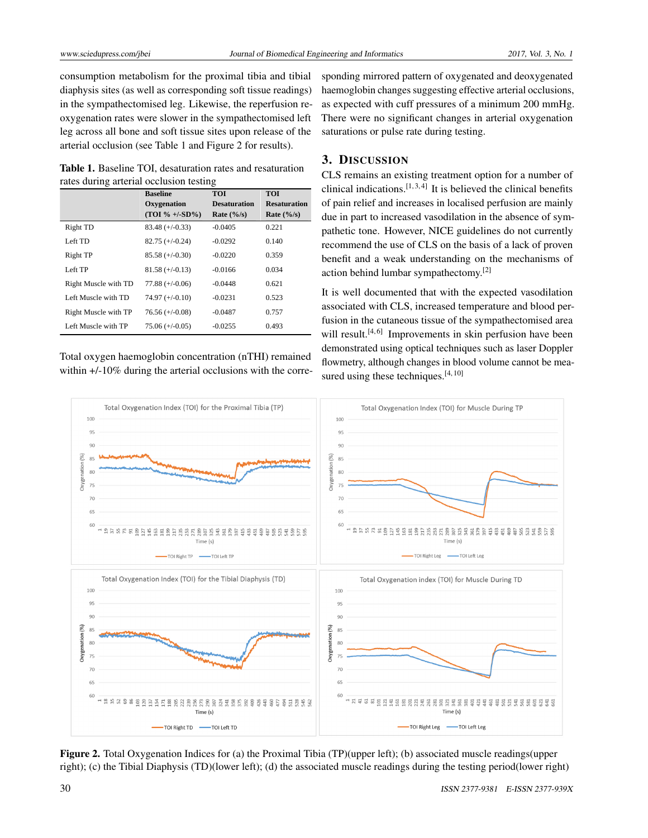consumption metabolism for the proximal tibia and tibial diaphysis sites (as well as corresponding soft tissue readings) in the sympathectomised leg. Likewise, the reperfusion reoxygenation rates were slower in the sympathectomised left leg across all bone and soft tissue sites upon release of the arterial occlusion (see Table 1 and Figure 2 for results).

Table 1. Baseline TOI, desaturation rates and resaturation rates during arterial occlusion testing

|                      | <b>Baseline</b>   | <b>TOI</b>           | <b>TOI</b>           |
|----------------------|-------------------|----------------------|----------------------|
|                      | Oxygenation       | <b>Desaturation</b>  | <b>Resaturation</b>  |
|                      | $(TOI \% +/-SD%)$ | Rate $(\frac{9}{s})$ | Rate $(\frac{9}{s})$ |
| Right TD             | $83.48 (+/-0.33)$ | $-0.0405$            | 0.221                |
| Left TD              | $82.75 (+/-0.24)$ | $-0.0292$            | 0.140                |
| Right TP             | $85.58 (+/-0.30)$ | $-0.0220$            | 0.359                |
| Left TP              | $81.58 (+/-0.13)$ | $-0.0166$            | 0.034                |
| Right Muscle with TD | $77.88 (+/-0.06)$ | $-0.0448$            | 0.621                |
| Left Muscle with TD  | $74.97 (+/-0.10)$ | $-0.0231$            | 0.523                |
| Right Muscle with TP | $76.56 (+/-0.08)$ | $-0.0487$            | 0.757                |
| Left Muscle with TP  | $75.06 (+/-0.05)$ | $-0.0255$            | 0.493                |

Total oxygen haemoglobin concentration (nTHI) remained within  $+/-10\%$  during the arterial occlusions with the corresponding mirrored pattern of oxygenated and deoxygenated haemoglobin changes suggesting effective arterial occlusions, as expected with cuff pressures of a minimum 200 mmHg. There were no significant changes in arterial oxygenation saturations or pulse rate during testing.

# 3. DISCUSSION

CLS remains an existing treatment option for a number of clinical indications.  $[1, 3, 4]$  $[1, 3, 4]$  $[1, 3, 4]$  $[1, 3, 4]$  $[1, 3, 4]$  It is believed the clinical benefits of pain relief and increases in localised perfusion are mainly due in part to increased vasodilation in the absence of sympathetic tone. However, NICE guidelines do not currently recommend the use of CLS on the basis of a lack of proven benefit and a weak understanding on the mechanisms of action behind lumbar sympathectomy.[\[2\]](#page-4-1)

It is well documented that with the expected vasodilation associated with CLS, increased temperature and blood perfusion in the cutaneous tissue of the sympathectomised area will result.<sup>[\[4,](#page-4-3)[6\]](#page-4-5)</sup> Improvements in skin perfusion have been demonstrated using optical techniques such as laser Doppler flowmetry, although changes in blood volume cannot be mea-sured using these techniques.<sup>[\[4,](#page-4-3) [10\]](#page-4-9)</sup>



Figure 2. Total Oxygenation Indices for (a) the Proximal Tibia (TP)(upper left); (b) associated muscle readings(upper right); (c) the Tibial Diaphysis (TD)(lower left); (d) the associated muscle readings during the testing period(lower right)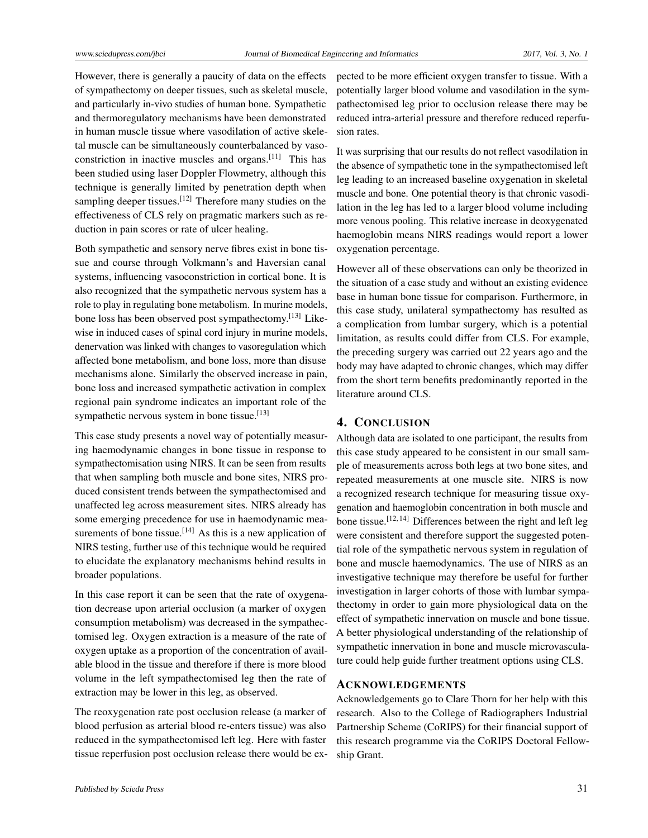However, there is generally a paucity of data on the effects of sympathectomy on deeper tissues, such as skeletal muscle, and particularly in-vivo studies of human bone. Sympathetic and thermoregulatory mechanisms have been demonstrated in human muscle tissue where vasodilation of active skeletal muscle can be simultaneously counterbalanced by vasoconstriction in inactive muscles and organs.[\[11\]](#page-4-10) This has been studied using laser Doppler Flowmetry, although this technique is generally limited by penetration depth when sampling deeper tissues.<sup>[\[12\]](#page-4-11)</sup> Therefore many studies on the effectiveness of CLS rely on pragmatic markers such as reduction in pain scores or rate of ulcer healing.

Both sympathetic and sensory nerve fibres exist in bone tissue and course through Volkmann's and Haversian canal systems, influencing vasoconstriction in cortical bone. It is also recognized that the sympathetic nervous system has a role to play in regulating bone metabolism. In murine models, bone loss has been observed post sympathectomy.[\[13\]](#page-4-12) Likewise in induced cases of spinal cord injury in murine models, denervation was linked with changes to vasoregulation which affected bone metabolism, and bone loss, more than disuse mechanisms alone. Similarly the observed increase in pain, bone loss and increased sympathetic activation in complex regional pain syndrome indicates an important role of the sympathetic nervous system in bone tissue.<sup>[\[13\]](#page-4-12)</sup>

This case study presents a novel way of potentially measuring haemodynamic changes in bone tissue in response to sympathectomisation using NIRS. It can be seen from results that when sampling both muscle and bone sites, NIRS produced consistent trends between the sympathectomised and unaffected leg across measurement sites. NIRS already has some emerging precedence for use in haemodynamic mea-surements of bone tissue.<sup>[\[14\]](#page-4-13)</sup> As this is a new application of NIRS testing, further use of this technique would be required to elucidate the explanatory mechanisms behind results in broader populations.

In this case report it can be seen that the rate of oxygenation decrease upon arterial occlusion (a marker of oxygen consumption metabolism) was decreased in the sympathectomised leg. Oxygen extraction is a measure of the rate of oxygen uptake as a proportion of the concentration of available blood in the tissue and therefore if there is more blood volume in the left sympathectomised leg then the rate of extraction may be lower in this leg, as observed.

The reoxygenation rate post occlusion release (a marker of blood perfusion as arterial blood re-enters tissue) was also reduced in the sympathectomised left leg. Here with faster tissue reperfusion post occlusion release there would be expected to be more efficient oxygen transfer to tissue. With a potentially larger blood volume and vasodilation in the sympathectomised leg prior to occlusion release there may be reduced intra-arterial pressure and therefore reduced reperfusion rates.

It was surprising that our results do not reflect vasodilation in the absence of sympathetic tone in the sympathectomised left leg leading to an increased baseline oxygenation in skeletal muscle and bone. One potential theory is that chronic vasodilation in the leg has led to a larger blood volume including more venous pooling. This relative increase in deoxygenated haemoglobin means NIRS readings would report a lower oxygenation percentage.

However all of these observations can only be theorized in the situation of a case study and without an existing evidence base in human bone tissue for comparison. Furthermore, in this case study, unilateral sympathectomy has resulted as a complication from lumbar surgery, which is a potential limitation, as results could differ from CLS. For example, the preceding surgery was carried out 22 years ago and the body may have adapted to chronic changes, which may differ from the short term benefits predominantly reported in the literature around CLS.

# 4. CONCLUSION

Although data are isolated to one participant, the results from this case study appeared to be consistent in our small sample of measurements across both legs at two bone sites, and repeated measurements at one muscle site. NIRS is now a recognized research technique for measuring tissue oxygenation and haemoglobin concentration in both muscle and bone tissue.[\[12,](#page-4-11) [14\]](#page-4-13) Differences between the right and left leg were consistent and therefore support the suggested potential role of the sympathetic nervous system in regulation of bone and muscle haemodynamics. The use of NIRS as an investigative technique may therefore be useful for further investigation in larger cohorts of those with lumbar sympathectomy in order to gain more physiological data on the effect of sympathetic innervation on muscle and bone tissue. A better physiological understanding of the relationship of sympathetic innervation in bone and muscle microvasculature could help guide further treatment options using CLS.

# ACKNOWLEDGEMENTS

Acknowledgements go to Clare Thorn for her help with this research. Also to the College of Radiographers Industrial Partnership Scheme (CoRIPS) for their financial support of this research programme via the CoRIPS Doctoral Fellowship Grant.